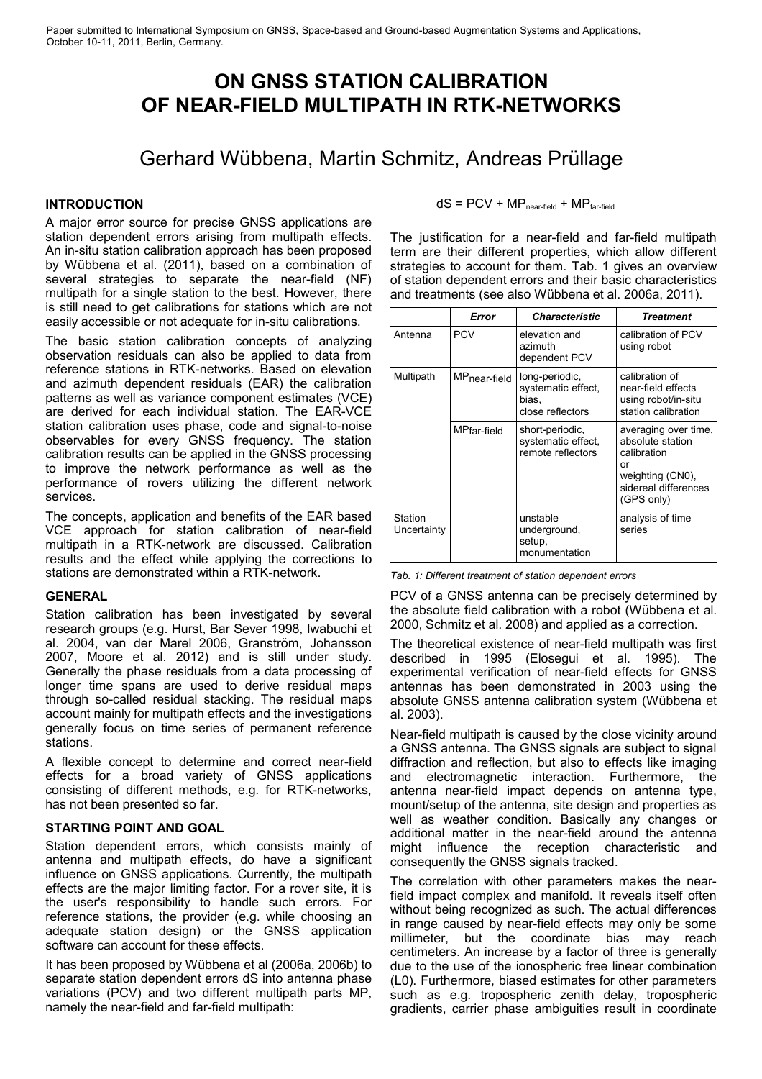# **ON GNSS STATION CALIBRATION OF NEAR-FIELD MULTIPATH IN RTK-NETWORKS**

# Gerhard Wübbena, Martin Schmitz, Andreas Prüllage

### **INTRODUCTION**

A major error source for precise GNSS applications are station dependent errors arising from multipath effects. An in-situ station calibration approach has been proposed by Wübbena et al. (2011), based on a combination of several strategies to separate the near-field (NF) multipath for a single station to the best. However, there is still need to get calibrations for stations which are not easily accessible or not adequate for in-situ calibrations.

The basic station calibration concepts of analyzing observation residuals can also be applied to data from reference stations in RTK-networks. Based on elevation and azimuth dependent residuals (EAR) the calibration patterns as well as variance component estimates (VCE) are derived for each individual station. The EAR-VCE station calibration uses phase, code and signal-to-noise observables for every GNSS frequency. The station calibration results can be applied in the GNSS processing to improve the network performance as well as the performance of rovers utilizing the different network services.

The concepts, application and benefits of the EAR based VCE approach for station calibration of near-field multipath in a RTK-network are discussed. Calibration results and the effect while applying the corrections to stations are demonstrated within a RTK-network.

#### **GENERAL**

Station calibration has been investigated by several research groups (e.g. Hurst, Bar Sever 1998, Iwabuchi et al. 2004, van der Marel 2006, Granström, Johansson 2007, Moore et al. 2012) and is still under study. Generally the phase residuals from a data processing of longer time spans are used to derive residual maps through so-called residual stacking. The residual maps account mainly for multipath effects and the investigations generally focus on time series of permanent reference stations.

A flexible concept to determine and correct near-field effects for a broad variety of GNSS applications consisting of different methods, e.g. for RTK-networks, has not been presented so far.

#### **STARTING POINT AND GOAL**

Station dependent errors, which consists mainly of antenna and multipath effects, do have a significant influence on GNSS applications. Currently, the multipath effects are the major limiting factor. For a rover site, it is the user's responsibility to handle such errors. For reference stations, the provider (e.g. while choosing an adequate station design) or the GNSS application software can account for these effects.

It has been proposed by Wübbena et al (2006a, 2006b) to separate station dependent errors dS into antenna phase variations (PCV) and two different multipath parts MP, namely the near-field and far-field multipath:

 $dS = PCV + MP_{near-field} + MP_{far-field}$ 

The justification for a near-field and far-field multipath term are their different properties, which allow different strategies to account for them. [Tab. 1](#page-0-0) gives an overview of station dependent errors and their basic characteristics and treatments (see also Wübbena et al. 2006a, 2011).

|                        | Error        | <b>Characteristic</b>                                             | <b>Treatment</b>                                                                                                        |
|------------------------|--------------|-------------------------------------------------------------------|-------------------------------------------------------------------------------------------------------------------------|
| Antenna                | <b>PCV</b>   | elevation and<br>azimuth<br>dependent PCV                         | calibration of PCV<br>using robot                                                                                       |
| Multipath              | MPnear-field | long-periodic,<br>systematic effect,<br>bias,<br>close reflectors | calibration of<br>near-field effects<br>using robot/in-situ<br>station calibration                                      |
|                        | MPfar-field  | short-periodic,<br>systematic effect.<br>remote reflectors        | averaging over time,<br>absolute station<br>calibration<br>or<br>weighting (CN0),<br>sidereal differences<br>(GPS only) |
| Station<br>Uncertainty |              | unstable<br>underground,<br>setup,<br>monumentation               | analysis of time<br>series                                                                                              |

<span id="page-0-0"></span>

| Tab. 1: Different treatment of station dependent errors |  |  |  |  |  |
|---------------------------------------------------------|--|--|--|--|--|
|---------------------------------------------------------|--|--|--|--|--|

PCV of a GNSS antenna can be precisely determined by the absolute field calibration with a robot (Wübbena et al. 2000, Schmitz et al. 2008) and applied as a correction.

The theoretical existence of near-field multipath was first described in 1995 (Elosegui et al. 1995). The experimental verification of near-field effects for GNSS antennas has been demonstrated in 2003 using the absolute GNSS antenna calibration system (Wübbena et al. 2003).

Near-field multipath is caused by the close vicinity around a GNSS antenna. The GNSS signals are subject to signal diffraction and reflection, but also to effects like imaging and electromagnetic interaction. Furthermore, the antenna near-field impact depends on antenna type, mount/setup of the antenna, site design and properties as well as weather condition. Basically any changes or additional matter in the near-field around the antenna might influence the reception characteristic and consequently the GNSS signals tracked.

The correlation with other parameters makes the nearfield impact complex and manifold. It reveals itself often without being recognized as such. The actual differences in range caused by near-field effects may only be some millimeter, but the coordinate bias may reach centimeters. An increase by a factor of three is generally due to the use of the ionospheric free linear combination (L0). Furthermore, biased estimates for other parameters such as e.g. tropospheric zenith delay, tropospheric gradients, carrier phase ambiguities result in coordinate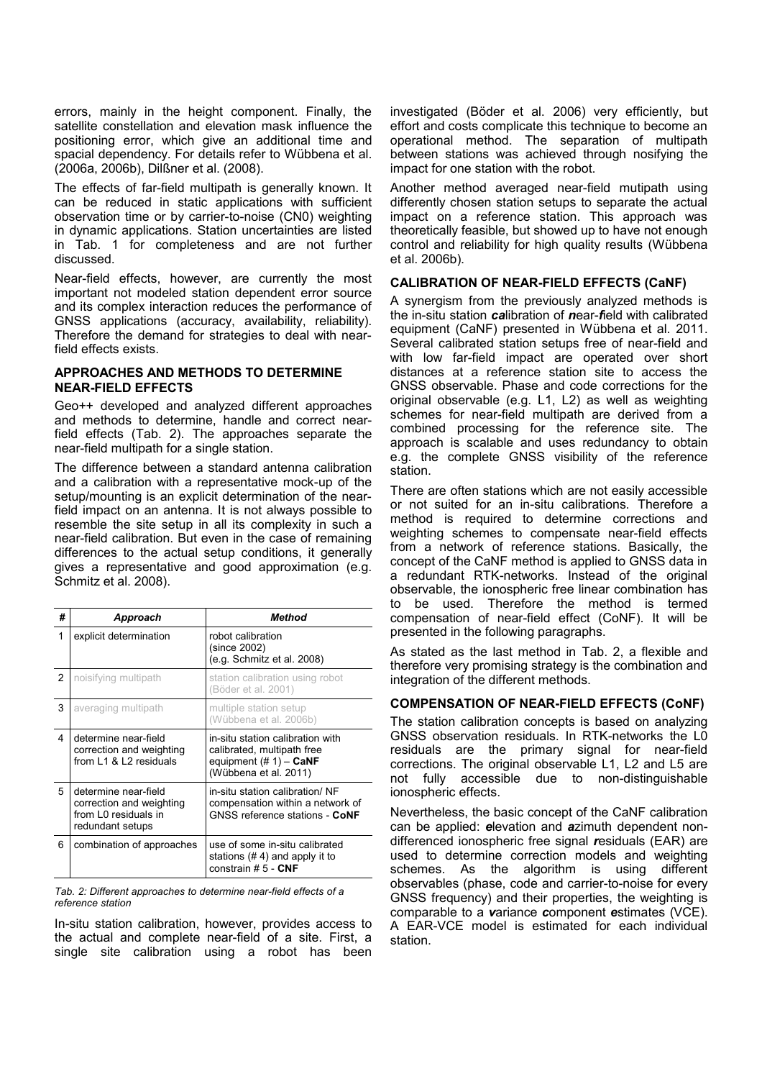errors, mainly in the height component. Finally, the satellite constellation and elevation mask influence the positioning error, which give an additional time and spacial dependency. For details refer to Wübbena et al. (2006a, 2006b), Dilßner et al. (2008).

The effects of far-field multipath is generally known. It can be reduced in static applications with sufficient observation time or by carrier-to-noise (CN0) weighting in dynamic applications. Station uncertainties are listed in [Tab. 1](#page-0-0) for completeness and are not further discussed.

Near-field effects, however, are currently the most important not modeled station dependent error source and its complex interaction reduces the performance of GNSS applications (accuracy, availability, reliability). Therefore the demand for strategies to deal with nearfield effects exists.

#### **APPROACHES AND METHODS TO DETERMINE NEAR-FIELD EFFECTS**

Geo++ developed and analyzed different approaches and methods to determine, handle and correct nearfield effects [\(Tab. 2\)](#page-1-0). The approaches separate the near-field multipath for a single station.

The difference between a standard antenna calibration and a calibration with a representative mock-up of the setup/mounting is an explicit determination of the nearfield impact on an antenna. It is not always possible to resemble the site setup in all its complexity in such a near-field calibration. But even in the case of remaining differences to the actual setup conditions, it generally gives a representative and good approximation (e.g. Schmitz et al. 2008).

| #              | Approach                                                                                     | Method                                                                                                               |
|----------------|----------------------------------------------------------------------------------------------|----------------------------------------------------------------------------------------------------------------------|
| 1              | explicit determination                                                                       | robot calibration<br>(since 2002)<br>(e.g. Schmitz et al. 2008)                                                      |
| $\overline{2}$ | noisifying multipath                                                                         | station calibration using robot<br>(Böder et al. 2001)                                                               |
| 3              | averaging multipath                                                                          | multiple station setup<br>(Wübbena et al. 2006b)                                                                     |
| 4              | determine near-field<br>correction and weighting<br>from $11 & 812$ residuals                | in-situ station calibration with<br>calibrated, multipath free<br>equipment $(\# 1)$ – CaNF<br>(Wübbena et al. 2011) |
| 5              | determine near-field<br>correction and weighting<br>from L0 residuals in<br>redundant setups | in-situ station calibration/ NF<br>compensation within a network of<br>GNSS reference stations - CoNF                |
| 6              | combination of approaches                                                                    | use of some in-situ calibrated<br>stations $(# 4)$ and apply it to<br>constrain $# 5 - CNF$                          |

<span id="page-1-0"></span>*Tab. 2: Different approaches to determine near-field effects of a reference station*

In-situ station calibration, however, provides access to the actual and complete near-field of a site. First, a single site calibration using a robot has been investigated (Böder et al. 2006) very efficiently, but effort and costs complicate this technique to become an operational method. The separation of multipath between stations was achieved through nosifying the impact for one station with the robot.

Another method averaged near-field mutipath using differently chosen station setups to separate the actual impact on a reference station. This approach was theoretically feasible, but showed up to have not enough control and reliability for high quality results (Wübbena et al. 2006b).

# **CALIBRATION OF NEAR-FIELD EFFECTS (CaNF)**

A synergism from the previously analyzed methods is the in-situ station *ca*libration of *n*ear-*f*ield with calibrated equipment (CaNF) presented in Wübbena et al. 2011. Several calibrated station setups free of near-field and with low far-field impact are operated over short distances at a reference station site to access the GNSS observable. Phase and code corrections for the original observable (e.g. L1, L2) as well as weighting schemes for near-field multipath are derived from a combined processing for the reference site. The approach is scalable and uses redundancy to obtain e.g. the complete GNSS visibility of the reference station.

There are often stations which are not easily accessible or not suited for an in-situ calibrations. Therefore a method is required to determine corrections and weighting schemes to compensate near-field effects from a network of reference stations. Basically, the concept of the CaNF method is applied to GNSS data in a redundant RTK-networks. Instead of the original observable, the ionospheric free linear combination has to be used. Therefore the method is termed compensation of near-field effect (CoNF). It will be presented in the following paragraphs.

As stated as the last method in [Tab. 2,](#page-1-0) a flexible and therefore very promising strategy is the combination and integration of the different methods.

# **COMPENSATION OF NEAR-FIELD EFFECTS (CoNF)**

The station calibration concepts is based on analyzing GNSS observation residuals. In RTK-networks the L0 residuals are the primary signal for near-field corrections. The original observable L1, L2 and L5 are not fully accessible due to non-distinguishable ionospheric effects.

Nevertheless, the basic concept of the CaNF calibration can be applied: *e*levation and *a*zimuth dependent nondifferenced ionospheric free signal *r*esiduals (EAR) are used to determine correction models and weighting schemes. As the algorithm is using different observables (phase, code and carrier-to-noise for every GNSS frequency) and their properties, the weighting is comparable to a *v*ariance *c*omponent *e*stimates (VCE). A EAR-VCE model is estimated for each individual station.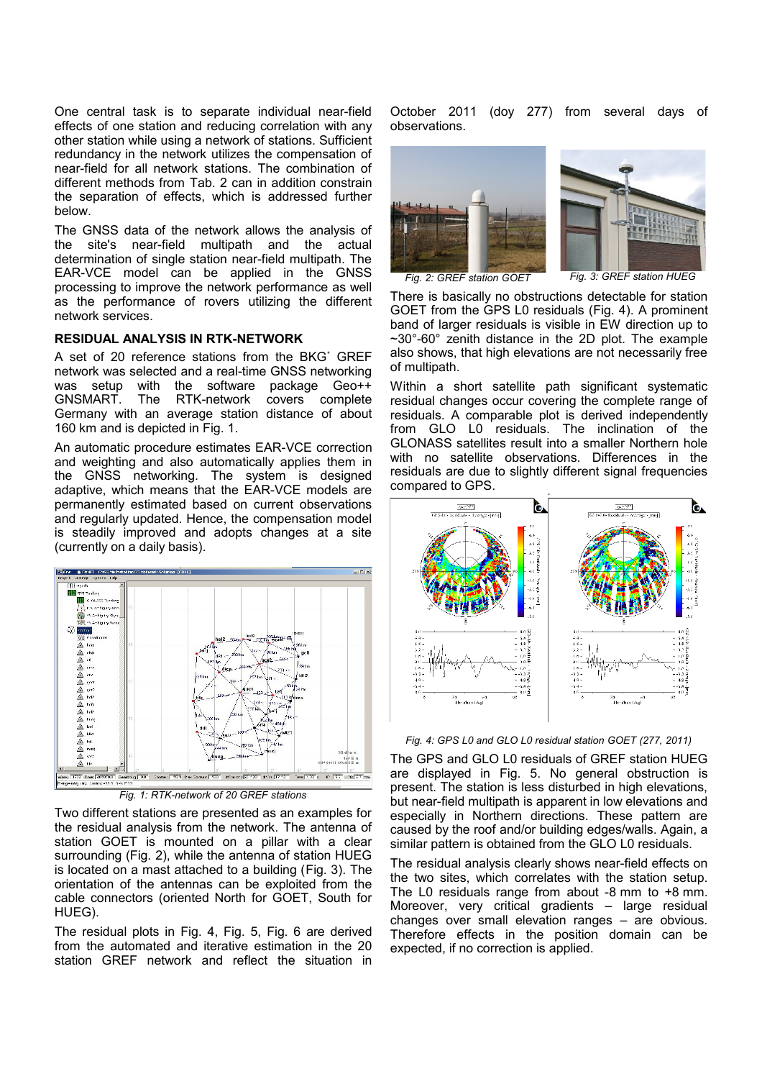One central task is to separate individual near-field effects of one station and reducing correlation with any other station while using a network of stations. Sufficient redundancy in the network utilizes the compensation of near-field for all network stations. The combination of different methods from [Tab. 2](#page-1-0) can in addition constrain the separation of effects, which is addressed further below.

The GNSS data of the network allows the analysis of the site's near-field multipath and the actual determination of single station near-field multipath. The EAR-VCE model can be applied in the GNSS processing to improve the network performance as well as the performance of rovers utilizing the different network services.

#### **RESIDUAL ANALYSIS IN RTK-NETWORK**

A set of 20 reference stations from the BKG<sup>\*</sup> GREF network was selected and a real-time GNSS networking was setup with the software package Geo++ GNSMART. The RTK-network covers complete Germany with an average station distance of about 160 km and is depicted in [Fig. 1.](#page-2-3)

An automatic procedure estimates EAR-VCE correction and weighting and also automatically applies them in the GNSS networking. The system is designed adaptive, which means that the EAR-VCE models are permanently estimated based on current observations and regularly updated. Hence, the compensation model is steadily improved and adopts changes at a site (currently on a daily basis).



<span id="page-2-3"></span>*Fig. 1: RTK-network of 20 GREF stations*

Two different stations are presented as an examples for the residual analysis from the network. The antenna of station GOET is mounted on a pillar with a clear surrounding (Fig. [2\)](#page-2-2), while the antenna of station HUEG is located on a mast attached to a building [\(Fig. 3\)](#page-2-1). The orientation of the antennas can be exploited from the cable connectors (oriented North for GOET, South for HUEG).

The residual plots in [Fig. 4,](#page-2-0) [Fig. 5,](#page-3-0) [Fig. 6](#page-3-1) are derived from the automated and iterative estimation in the 20 station GREF network and reflect the situation in October 2011 (doy 277) from several days of observations.



*Fig. 2: GREF station GOET*

<span id="page-2-1"></span>*Fig. 3: GREF station HUEG*

<span id="page-2-2"></span>There is basically no obstructions detectable for station GOET from the GPS L0 residuals [\(Fig. 4\)](#page-2-0). A prominent band of larger residuals is visible in EW direction up to  $\sim$ 30 $^{\circ}$ -60 $^{\circ}$  zenith distance in the 2D plot. The example also shows, that high elevations are not necessarily free of multipath.

Within a short satellite path significant systematic residual changes occur covering the complete range of residuals. A comparable plot is derived independently from GLO L0 residuals. The inclination of the GLONASS satellites result into a smaller Northern hole with no satellite observations. Differences in the residuals are due to slightly different signal frequencies compared to GPS.



<span id="page-2-0"></span>*Fig. 4: GPS L0 and GLO L0 residual station GOET (277, 2011)*

The GPS and GLO L0 residuals of GREF station HUEG are displayed in [Fig. 5.](#page-3-0) No general obstruction is present. The station is less disturbed in high elevations, but near-field multipath is apparent in low elevations and especially in Northern directions. These pattern are caused by the roof and/or building edges/walls. Again, a similar pattern is obtained from the GLO L0 residuals.

The residual analysis clearly shows near-field effects on the two sites, which correlates with the station setup. The L0 residuals range from about -8 mm to +8 mm. Moreover, very critical gradients – large residual changes over small elevation ranges – are obvious. Therefore effects in the position domain can be expected, if no correction is applied.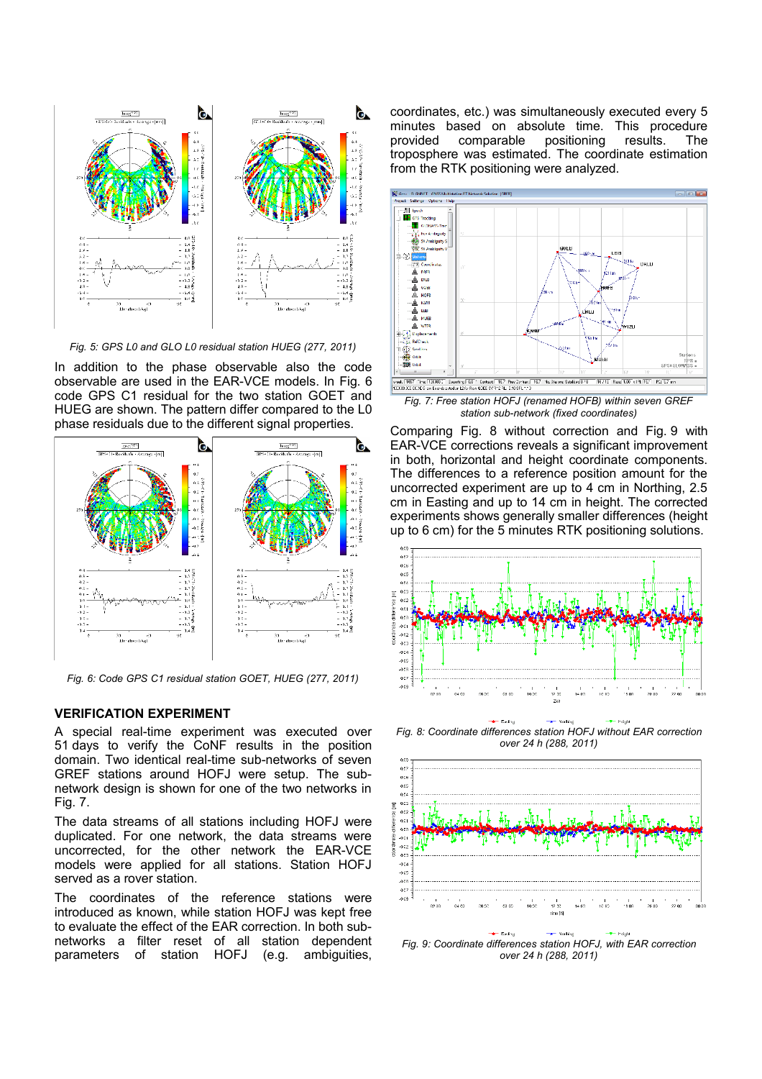

<span id="page-3-0"></span>*Fig. 5: GPS L0 and GLO L0 residual station HUEG (277, 2011)*

In addition to the phase observable also the code observable are used in the EAR-VCE models. In [Fig. 6](#page-3-1) code GPS C1 residual for the two station GOET and HUEG are shown. The pattern differ compared to the L0 phase residuals due to the different signal properties.



<span id="page-3-1"></span>*Fig. 6: Code GPS C1 residual station GOET, HUEG (277, 2011)*

#### **VERIFICATION EXPERIMENT**

A special real-time experiment was executed over 51 days to verify the CoNF results in the position domain. Two identical real-time sub-networks of seven GREF stations around HOFJ were setup. The subnetwork design is shown for one of the two networks in [Fig. 7.](#page-3-4)

The data streams of all stations including HOFJ were duplicated. For one network, the data streams were uncorrected, for the other network the EAR-VCE models were applied for all stations. Station HOFJ served as a rover station.

The coordinates of the reference stations were introduced as known, while station HOFJ was kept free to evaluate the effect of the EAR correction. In both subnetworks a filter reset of all station dependent parameters of station HOFJ (e.g. ambiguities, coordinates, etc.) was simultaneously executed every 5 minutes based on absolute time. This procedure provided comparable positioning results. The troposphere was estimated. The coordinate estimation from the RTK positioning were analyzed.



<span id="page-3-4"></span>*station sub-network (fixed coordinates)*

Comparing [Fig. 8](#page-3-3) without correction and Fig. [9](#page-3-2) with EAR-VCE corrections reveals a significant improvement in both, horizontal and height coordinate components. The differences to a reference position amount for the uncorrected experiment are up to 4 cm in Northing, 2.5 cm in Easting and up to 14 cm in height. The corrected experiments shows generally smaller differences (height up to 6 cm) for the 5 minutes RTK positioning solutions.



<span id="page-3-3"></span> $-$  Module *Fig. 8: Coordinate differences station HOFJ without EAR correction over 24 h (288, 2011)*

-e-Folke



<span id="page-3-2"></span>*Fig. 9: Coordinate differences station HOFJ, with EAR correction over 24 h (288, 2011)*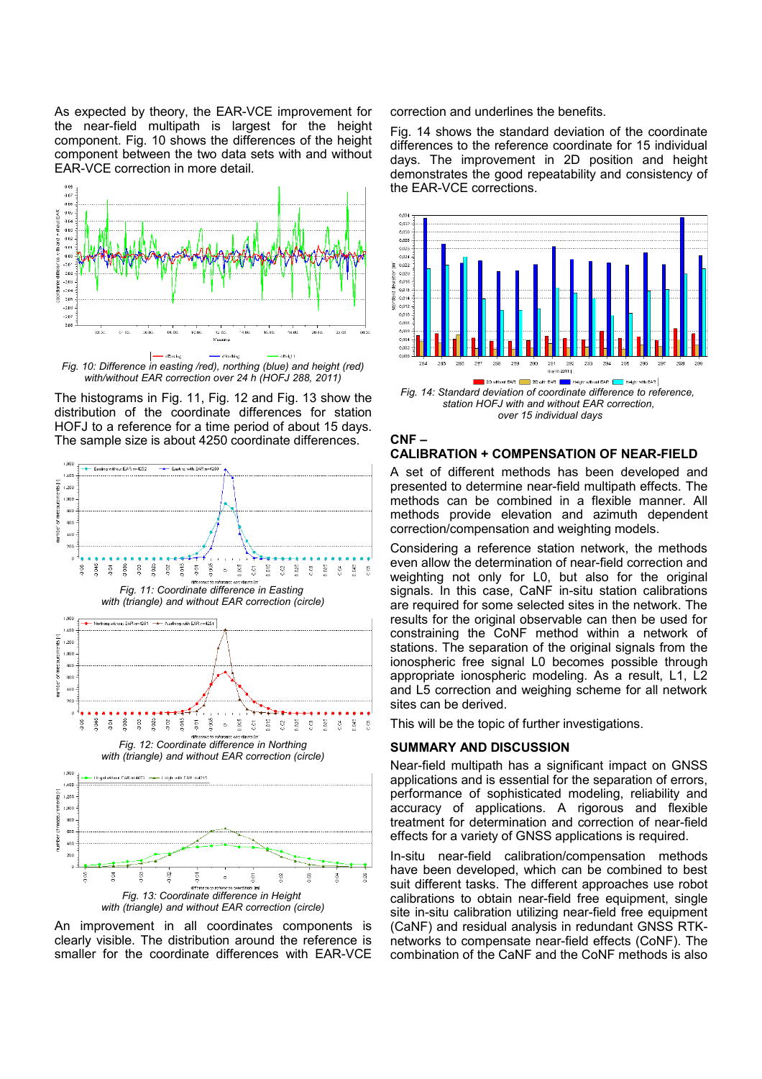As expected by theory, the EAR-VCE improvement for the near-field multipath is largest for the height component. [Fig. 10](#page-4-4) shows the differences of the height component between the two data sets with and without EAR-VCE correction in more detail.



<span id="page-4-4"></span>*Fig. 10: Difference in easting /red), northing (blue) and height (red) with/without EAR correction over 24 h (HOFJ 288, 2011)*

The histograms in [Fig. 11,](#page-4-3) [Fig. 12](#page-4-2) and [Fig. 13](#page-4-1) show the distribution of the coordinate differences for station HOFJ to a reference for a time period of about 15 days. The sample size is about 4250 coordinate differences.

<span id="page-4-3"></span>

<span id="page-4-2"></span><span id="page-4-1"></span>*with (triangle) and without EAR correction (circle)*

An improvement in all coordinates components is clearly visible. The distribution around the reference is smaller for the coordinate differences with EAR-VCE correction and underlines the benefits.

[Fig. 14](#page-4-0) shows the standard deviation of the coordinate differences to the reference coordinate for 15 individual days. The improvement in 2D position and height demonstrates the good repeatability and consistency of the EAR-VCE corrections.



<span id="page-4-0"></span>*station HOFJ with and without EAR correction, over 15 individual days*

## **CNF –**

#### **CALIBRATION + COMPENSATION OF NEAR-FIELD**

A set of different methods has been developed and presented to determine near-field multipath effects. The methods can be combined in a flexible manner. All methods provide elevation and azimuth dependent correction/compensation and weighting models.

Considering a reference station network, the methods even allow the determination of near-field correction and weighting not only for L0, but also for the original signals. In this case, CaNF in-situ station calibrations are required for some selected sites in the network. The results for the original observable can then be used for constraining the CoNF method within a network of stations. The separation of the original signals from the ionospheric free signal L0 becomes possible through appropriate ionospheric modeling. As a result, L1, L2 and L5 correction and weighing scheme for all network sites can be derived.

This will be the topic of further investigations.

#### **SUMMARY AND DISCUSSION**

Near-field multipath has a significant impact on GNSS applications and is essential for the separation of errors, performance of sophisticated modeling, reliability and accuracy of applications. A rigorous and flexible treatment for determination and correction of near-field effects for a variety of GNSS applications is required.

In-situ near-field calibration/compensation methods have been developed, which can be combined to best suit different tasks. The different approaches use robot calibrations to obtain near-field free equipment, single site in-situ calibration utilizing near-field free equipment (CaNF) and residual analysis in redundant GNSS RTKnetworks to compensate near-field effects (CoNF). The combination of the CaNF and the CoNF methods is also